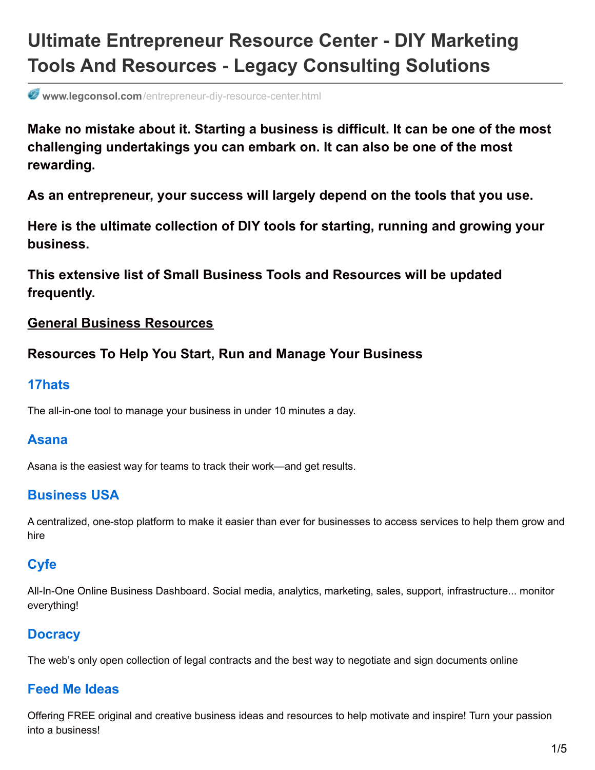# **Ultimate Entrepreneur Resource Center - DIY Marketing Tools And Resources - Legacy Consulting Solutions**

**www.legconsol.com**[/entrepreneur-diy-resource-center.html](http://www.legconsol.com/entrepreneur-diy-resource-center.html)

**Make no mistake about it. Starting a business is difficult. It can be one of the most challenging undertakings you can embark on. It can also be one of the most rewarding.**

**As an entrepreneur, your success will largely depend on the tools that you use.**

**Here is the ultimate collection of DIY tools for starting, running and growing your business.**

**This extensive list of Small Business Tools and Resources will be updated frequently.**

#### **General Business Resources**

### **Resources To Help You Start, Run and Manage Your Business**

### **[17hats](https://www.17hats.com/)**

The all-in-one tool to manage your business in under 10 minutes a day.

### **[Asana](https://asana.com/)**

Asana is the easiest way for teams to track their work—and get results.

# **[Business](https://business.usa.gov/) USA**

A centralized, one-stop platform to make it easier than ever for businesses to access services to help them grow and hire

# **[Cyfe](http://www.cyfe.com/)**

All-In-One Online Business Dashboard. Social media, analytics, marketing, sales, support, infrastructure... monitor everything!

# **[Docracy](http://www.docracy.com/)**

The web's only open collection of legal contracts and the best way to negotiate and sign documents online

### **Feed Me [Ideas](http://www.feedmeideas.com/)**

Offering FREE original and creative business ideas and resources to help motivate and inspire! Turn your passion into a business!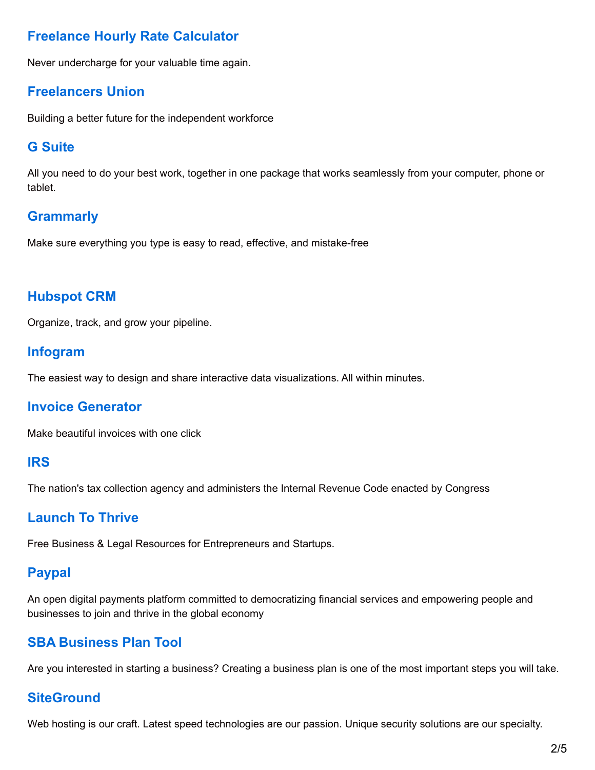# **Freelance Hourly Rate [Calculator](https://offers.hubspot.com/thank-you/freelance-hourly-rate-calculator?inc-salary=75000&inc-work-days=5&inc-work-hours=5&inc-vacation-days=30&inc-sick-days=5&inc-holidays=7&inc-billable-rate=75&exp-office-space=200&exp-web-hosting=100&exp-internet=840&exp-pm-tools=960&exp-mkt-software=2400&exp-ad-spend=5000&exp-acct-software=360&exp-acct-fees=600&exp-medical=1800&exp-travel=5000&exp-tech=2000&exp-retirement=11000&exp-taxes=6000&exp-miscellaneous=500)**

Never undercharge for your valuable time again.

### **[Freelancers](https://www.freelancersunion.org/) Union**

Building a better future for the independent workforce

### **G [Suite](https://gsuite.google.com/)**

All you need to do your best work, together in one package that works seamlessly from your computer, phone or tablet.

# **[Grammarly](https://www.grammarly.com/)**

Make sure everything you type is easy to read, effective, and mistake-free

# **[Hubspot](https://www.hubspot.com/products/crm) CRM**

Organize, track, and grow your pipeline.

### **[Infogram](https://infogr.am/)**

The easiest way to design and share interactive data visualizations. All within minutes.

### **Invoice [Generator](https://invoice-generator.com/#/1)**

Make beautiful invoices with one click

#### **[IRS](https://www.irs.gov/)**

The nation's tax collection agency and administers the Internal Revenue Code enacted by Congress

### **[Launch](http://launchtothrive.com/) To Thrive**

Free Business & Legal Resources for Entrepreneurs and Startups.

# **[Paypal](https://www.paypal.com/us/webapps/mpp/home)**

An open digital payments platform committed to democratizing financial services and empowering people and businesses to join and thrive in the global economy

# **SBA [Business](https://www.sba.gov/tools/business-plan/1) Plan Tool**

Are you interested in starting a business? Creating a business plan is one of the most important steps you will take.

### **[SiteGround](https://www.siteground.com/affiliates)**

Web hosting is our craft. Latest speed technologies are our passion. Unique security solutions are our specialty.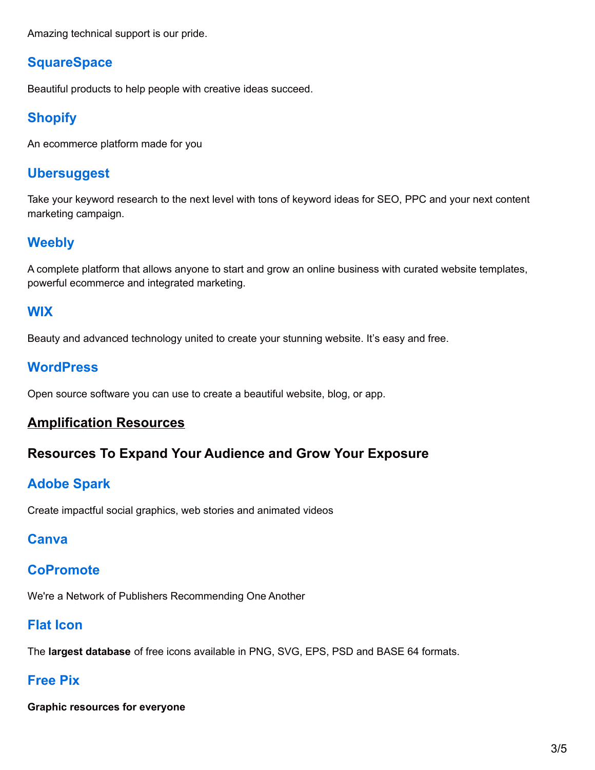Amazing technical support is our pride.

# **[SquareSpace](https://www.squarespace.com/)**

Beautiful products to help people with creative ideas succeed.

# **[Shopify](http://1.shopifytrack.com/aff_c?offer_id=2&aff_id=20159)**

An ecommerce platform made for you

### **[Ubersuggest](https://ubersuggest.io/)**

Take your keyword research to the next level with tons of keyword ideas for SEO, PPC and your next content marketing campaign.

# **[Weebly](http://www.shareasale.com/r.cfm?B=366125&U=1471655&M=37723&urllink=)**

A complete platform that allows anyone to start and grow an online business with curated website templates, powerful ecommerce and integrated marketing.

### **[WIX](http://www.wix.com/)**

Beauty and advanced technology united to create your stunning website. It's easy and free.

### **[WordPress](https://wordpress.org/)**

Open source software you can use to create a beautiful website, blog, or app.

### **Amplification Resources**

### **Resources To Expand Your Audience and Grow Your Exposure**

### **[Adobe](https://spark.adobe.com/) Spark**

Create impactful social graphics, web stories and animated videos

### **[Canva](https://www.canva.com/)**

### **[CoPromote](https://goo.gl/jPjICu)**

We're a Network of Publishers Recommending One Another

# **Flat [Icon](http://www.flaticon.com/)**

The **largest database** of free icons available in PNG, SVG, EPS, PSD and BASE 64 formats.

# **[Free](http://www.freepik.com/) Pix**

**Graphic resources for everyone**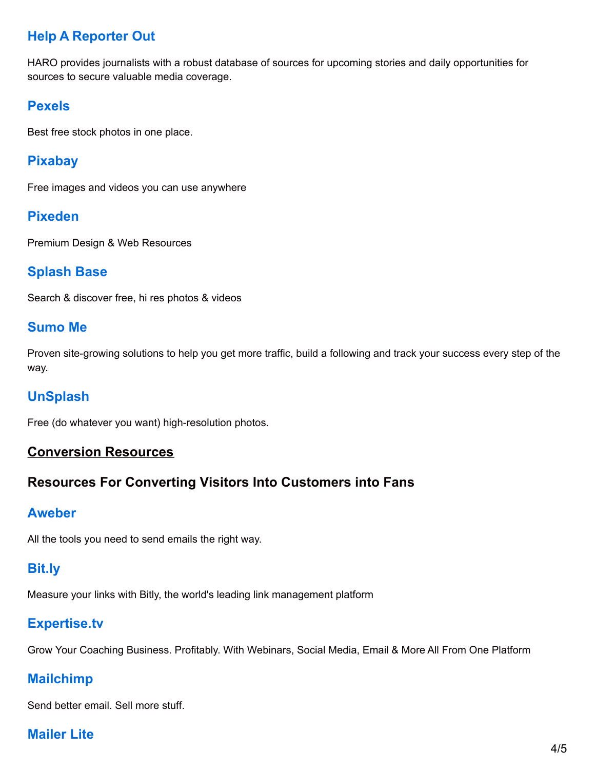# **Help A [Reporter](https://www.helpareporter.com/) Out**

HARO provides journalists with a robust database of sources for upcoming stories and daily opportunities for sources to secure valuable media coverage.

# **[Pexels](https://www.pexels.com/)**

Best free stock photos in one place.

# **[Pixabay](https://pixabay.com/)**

Free images and videos you can use anywhere

# **[Pixeden](http://www.pixeden.com/free-design-web-resources)**

Premium Design & Web Resources

### **[Splash](http://www.splashbase.co/) Base**

Search & discover free, hi res photos & videos

#### **[Sumo](https://sumome.com/) Me**

Proven site-growing solutions to help you get more traffic, build a following and track your success every step of the way.

# **[UnSplash](https://unsplash.com/)**

Free (do whatever you want) high-resolution photos.

#### **Conversion Resources**

# **Resources For Converting Visitors Into Customers into Fans**

### **[Aweber](https://www.aweber.com/)**

All the tools you need to send emails the right way.

# **[Bit.ly](https://bitly.com/)**

Measure your links with Bitly, the world's leading link management platform

# **[Expertise.tv](https://expertise.tv/?ac=d8aed7804fa3)**

Grow Your Coaching Business. Profitably. With Webinars, Social Media, Email & More All From One Platform

# **[Mailchimp](https://mailchimp.com/)**

Send better email. Sell more stuff.

# **[Mailer](https://www.mailerlite.com/invite/8d4b3ab37f885) Lite**